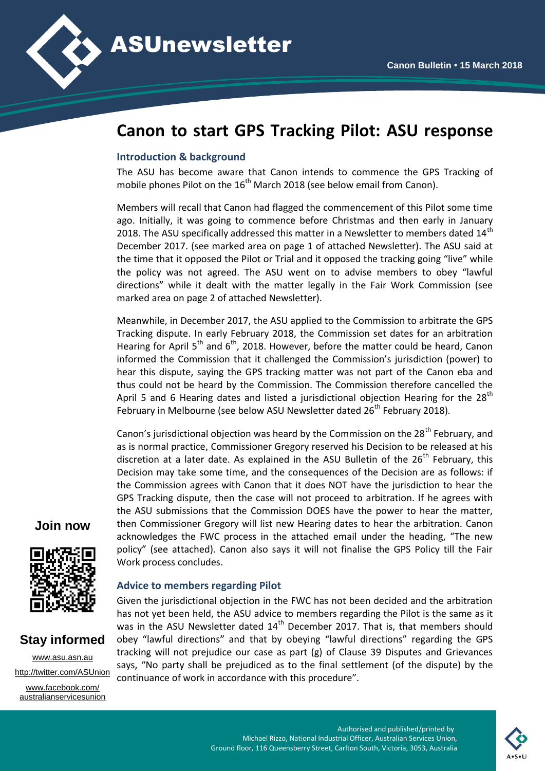

# **Canon to start GPS Tracking Pilot: ASU response**

#### **Introduction & background**

The ASU has become aware that Canon intends to commence the GPS Tracking of mobile phones Pilot on the  $16<sup>th</sup>$  March 2018 (see below email from Canon).

Members will recall that Canon had flagged the commencement of this Pilot some time ago. Initially, it was going to commence before Christmas and then early in January 2018. The ASU specifically addressed this matter in a Newsletter to members dated  $14<sup>th</sup>$ December 2017. (see marked area on page 1 of attached Newsletter). The ASU said at the time that it opposed the Pilot or Trial and it opposed the tracking going "live" while the policy was not agreed. The ASU went on to advise members to obey "lawful directions" while it dealt with the matter legally in the Fair Work Commission (see marked area on page 2 of attached Newsletter).

Meanwhile, in December 2017, the ASU applied to the Commission to arbitrate the GPS Tracking dispute. In early February 2018, the Commission set dates for an arbitration Hearing for April  $5<sup>th</sup>$  and  $6<sup>th</sup>$ , 2018. However, before the matter could be heard, Canon informed the Commission that it challenged the Commission's jurisdiction (power) to hear this dispute, saying the GPS tracking matter was not part of the Canon eba and thus could not be heard by the Commission. The Commission therefore cancelled the April 5 and 6 Hearing dates and listed a jurisdictional objection Hearing for the  $28<sup>th</sup>$ February in Melbourne (see below ASU Newsletter dated  $26<sup>th</sup>$  February 2018).

Canon's jurisdictional objection was heard by the Commission on the  $28<sup>th</sup>$  February, and as is normal practice, Commissioner Gregory reserved his Decision to be released at his discretion at a later date. As explained in the ASU Bulletin of the  $26<sup>th</sup>$  February, this Decision may take some time, and the consequences of the Decision are as follows: if the Commission agrees with Canon that it does NOT have the jurisdiction to hear the GPS Tracking dispute, then the case will not proceed to arbitration. If he agrees with the ASU submissions that the Commission DOES have the power to hear the matter, then Commissioner Gregory will list new Hearing dates to hear the arbitration. Canon acknowledges the FWC process in the attached email under the heading, "The new policy" (see attached). Canon also says it will not finalise the GPS Policy till the Fair Work process concludes.

### **Join now**



## **Stay informed**

[www.asu.asn.au](http://www.asu.asn.au/) <http://twitter.com/ASUnion> [www.facebook.com/](http://www.facebook.com/australianservicesunion) [australianservicesunion](http://www.facebook.com/australianservicesunion)

### **Advice to members regarding Pilot**

Given the jurisdictional objection in the FWC has not been decided and the arbitration has not yet been held, the ASU advice to members regarding the Pilot is the same as it was in the ASU Newsletter dated 14<sup>th</sup> December 2017. That is, that members should obey "lawful directions" and that by obeying "lawful directions" regarding the GPS tracking will not prejudice our case as part (g) of Clause 39 Disputes and Grievances says, "No party shall be prejudiced as to the final settlement (of the dispute) by the continuance of work in accordance with this procedure".